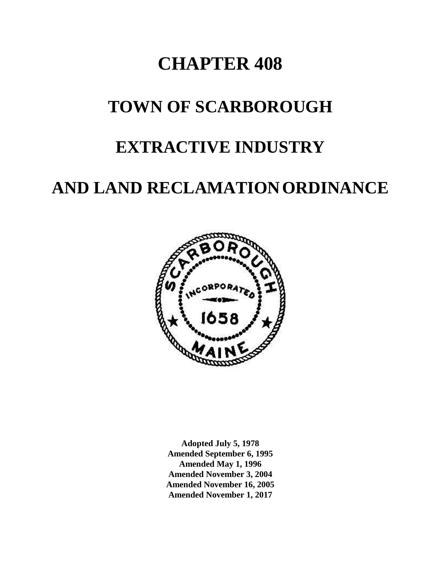# **CHAPTER 408**

# **TOWN OF SCARBOROUGH**

# **EXTRACTIVE INDUSTRY**

# **AND LAND RECLAMATIONORDINANCE**



**Adopted July 5, 1978 Amended September 6, 1995 Amended May 1, 1996 Amended November 3, 2004 Amended November 16, 2005 Amended November 1, 2017**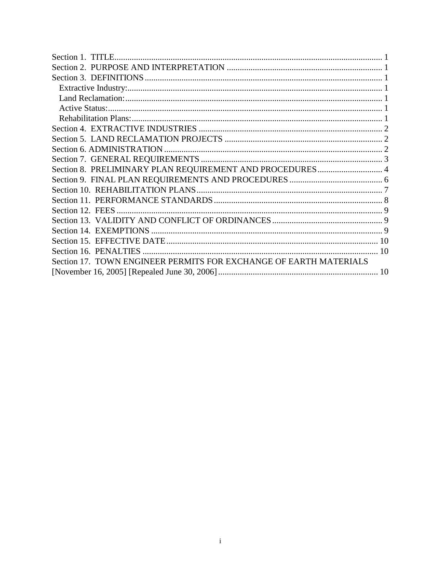| Section 8. PRELIMINARY PLAN REQUIREMENT AND PROCEDURES 4          |
|-------------------------------------------------------------------|
|                                                                   |
|                                                                   |
|                                                                   |
|                                                                   |
|                                                                   |
|                                                                   |
|                                                                   |
|                                                                   |
| Section 17. TOWN ENGINEER PERMITS FOR EXCHANGE OF EARTH MATERIALS |
|                                                                   |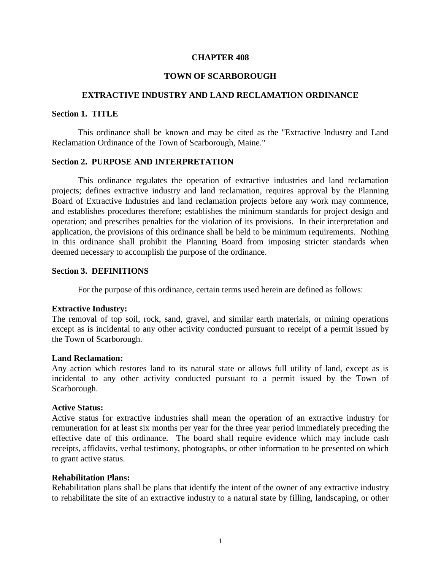#### **CHAPTER 408**

#### **TOWN OF SCARBOROUGH**

### **EXTRACTIVE INDUSTRY AND LAND RECLAMATION ORDINANCE**

#### <span id="page-2-0"></span>**Section 1. TITLE**

This ordinance shall be known and may be cited as the "Extractive Industry and Land Reclamation Ordinance of the Town of Scarborough, Maine."

#### <span id="page-2-1"></span>**Section 2. PURPOSE AND INTERPRETATION**

This ordinance regulates the operation of extractive industries and land reclamation projects; defines extractive industry and land reclamation, requires approval by the Planning Board of Extractive Industries and land reclamation projects before any work may commence, and establishes procedures therefore; establishes the minimum standards for project design and operation; and prescribes penalties for the violation of its provisions. In their interpretation and application, the provisions of this ordinance shall be held to be minimum requirements. Nothing in this ordinance shall prohibit the Planning Board from imposing stricter standards when deemed necessary to accomplish the purpose of the ordinance.

#### <span id="page-2-2"></span>**Section 3. DEFINITIONS**

For the purpose of this ordinance, certain terms used herein are defined as follows:

#### <span id="page-2-3"></span>**Extractive Industry:**

The removal of top soil, rock, sand, gravel, and similar earth materials, or mining operations except as is incidental to any other activity conducted pursuant to receipt of a permit issued by the Town of Scarborough.

#### <span id="page-2-4"></span>**Land Reclamation:**

Any action which restores land to its natural state or allows full utility of land, except as is incidental to any other activity conducted pursuant to a permit issued by the Town of Scarborough.

#### <span id="page-2-5"></span>**Active Status:**

Active status for extractive industries shall mean the operation of an extractive industry for remuneration for at least six months per year for the three year period immediately preceding the effective date of this ordinance. The board shall require evidence which may include cash receipts, affidavits, verbal testimony, photographs, or other information to be presented on which to grant active status.

#### <span id="page-2-6"></span>**Rehabilitation Plans:**

Rehabilitation plans shall be plans that identify the intent of the owner of any extractive industry to rehabilitate the site of an extractive industry to a natural state by filling, landscaping, or other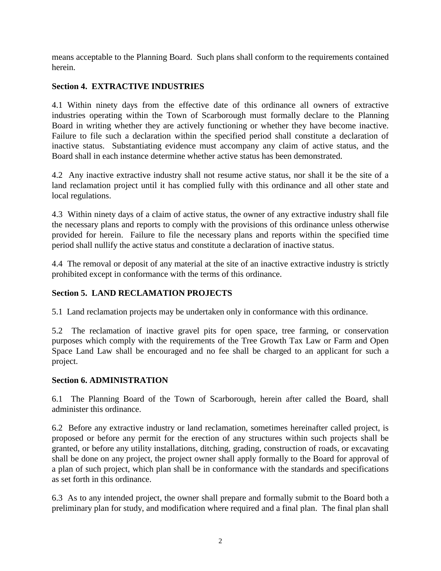means acceptable to the Planning Board. Such plans shall conform to the requirements contained herein.

## <span id="page-3-0"></span>**Section 4. EXTRACTIVE INDUSTRIES**

4.1 Within ninety days from the effective date of this ordinance all owners of extractive industries operating within the Town of Scarborough must formally declare to the Planning Board in writing whether they are actively functioning or whether they have become inactive. Failure to file such a declaration within the specified period shall constitute a declaration of inactive status. Substantiating evidence must accompany any claim of active status, and the Board shall in each instance determine whether active status has been demonstrated.

4.2 Any inactive extractive industry shall not resume active status, nor shall it be the site of a land reclamation project until it has complied fully with this ordinance and all other state and local regulations.

4.3 Within ninety days of a claim of active status, the owner of any extractive industry shall file the necessary plans and reports to comply with the provisions of this ordinance unless otherwise provided for herein. Failure to file the necessary plans and reports within the specified time period shall nullify the active status and constitute a declaration of inactive status.

4.4 The removal or deposit of any material at the site of an inactive extractive industry is strictly prohibited except in conformance with the terms of this ordinance.

# <span id="page-3-1"></span>**Section 5. LAND RECLAMATION PROJECTS**

5.1 Land reclamation projects may be undertaken only in conformance with this ordinance.

5.2 The reclamation of inactive gravel pits for open space, tree farming, or conservation purposes which comply with the requirements of the Tree Growth Tax Law or Farm and Open Space Land Law shall be encouraged and no fee shall be charged to an applicant for such a project.

# <span id="page-3-2"></span>**Section 6. ADMINISTRATION**

6.1 The Planning Board of the Town of Scarborough, herein after called the Board, shall administer this ordinance.

6.2 Before any extractive industry or land reclamation, sometimes hereinafter called project, is proposed or before any permit for the erection of any structures within such projects shall be granted, or before any utility installations, ditching, grading, construction of roads, or excavating shall be done on any project, the project owner shall apply formally to the Board for approval of a plan of such project, which plan shall be in conformance with the standards and specifications as set forth in this ordinance.

6.3 As to any intended project, the owner shall prepare and formally submit to the Board both a preliminary plan for study, and modification where required and a final plan. The final plan shall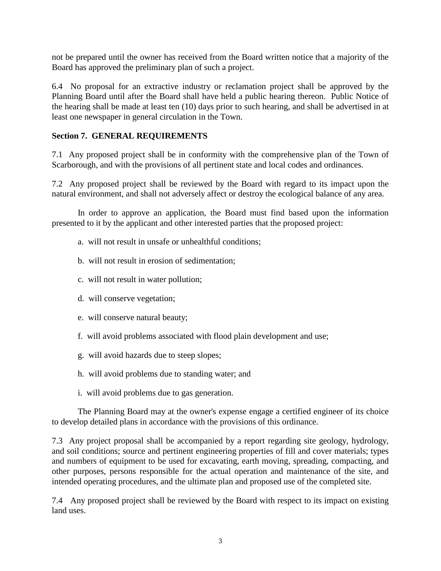not be prepared until the owner has received from the Board written notice that a majority of the Board has approved the preliminary plan of such a project.

6.4 No proposal for an extractive industry or reclamation project shall be approved by the Planning Board until after the Board shall have held a public hearing thereon. Public Notice of the hearing shall be made at least ten (10) days prior to such hearing, and shall be advertised in at least one newspaper in general circulation in the Town.

## <span id="page-4-0"></span>**Section 7. GENERAL REQUIREMENTS**

7.1 Any proposed project shall be in conformity with the comprehensive plan of the Town of Scarborough, and with the provisions of all pertinent state and local codes and ordinances.

7.2 Any proposed project shall be reviewed by the Board with regard to its impact upon the natural environment, and shall not adversely affect or destroy the ecological balance of any area.

In order to approve an application, the Board must find based upon the information presented to it by the applicant and other interested parties that the proposed project:

- a. will not result in unsafe or unhealthful conditions;
- b. will not result in erosion of sedimentation;
- c. will not result in water pollution;
- d. will conserve vegetation;
- e. will conserve natural beauty;
- f. will avoid problems associated with flood plain development and use;
- g. will avoid hazards due to steep slopes;
- h. will avoid problems due to standing water; and
- i. will avoid problems due to gas generation.

The Planning Board may at the owner's expense engage a certified engineer of its choice to develop detailed plans in accordance with the provisions of this ordinance.

7.3 Any project proposal shall be accompanied by a report regarding site geology, hydrology, and soil conditions; source and pertinent engineering properties of fill and cover materials; types and numbers of equipment to be used for excavating, earth moving, spreading, compacting, and other purposes, persons responsible for the actual operation and maintenance of the site, and intended operating procedures, and the ultimate plan and proposed use of the completed site.

7.4 Any proposed project shall be reviewed by the Board with respect to its impact on existing land uses.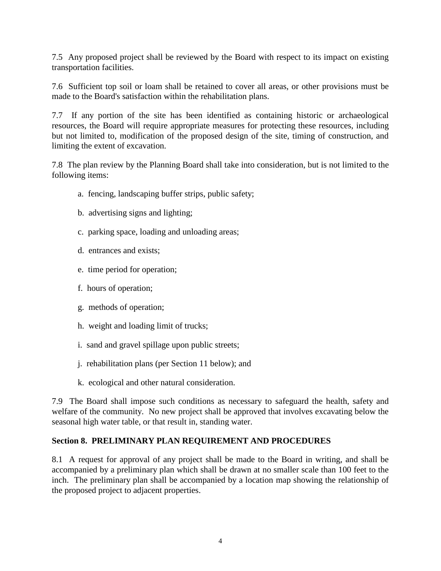7.5 Any proposed project shall be reviewed by the Board with respect to its impact on existing transportation facilities.

7.6 Sufficient top soil or loam shall be retained to cover all areas, or other provisions must be made to the Board's satisfaction within the rehabilitation plans.

7.7 If any portion of the site has been identified as containing historic or archaeological resources, the Board will require appropriate measures for protecting these resources, including but not limited to, modification of the proposed design of the site, timing of construction, and limiting the extent of excavation.

7.8 The plan review by the Planning Board shall take into consideration, but is not limited to the following items:

- a. fencing, landscaping buffer strips, public safety;
- b. advertising signs and lighting;
- c. parking space, loading and unloading areas;
- d. entrances and exists;
- e. time period for operation;
- f. hours of operation;
- g. methods of operation;
- h. weight and loading limit of trucks;
- i. sand and gravel spillage upon public streets;
- j. rehabilitation plans (per Section 11 below); and
- k. ecological and other natural consideration.

7.9 The Board shall impose such conditions as necessary to safeguard the health, safety and welfare of the community. No new project shall be approved that involves excavating below the seasonal high water table, or that result in, standing water.

### <span id="page-5-0"></span>**Section 8. PRELIMINARY PLAN REQUIREMENT AND PROCEDURES**

8.1 A request for approval of any project shall be made to the Board in writing, and shall be accompanied by a preliminary plan which shall be drawn at no smaller scale than 100 feet to the inch. The preliminary plan shall be accompanied by a location map showing the relationship of the proposed project to adjacent properties.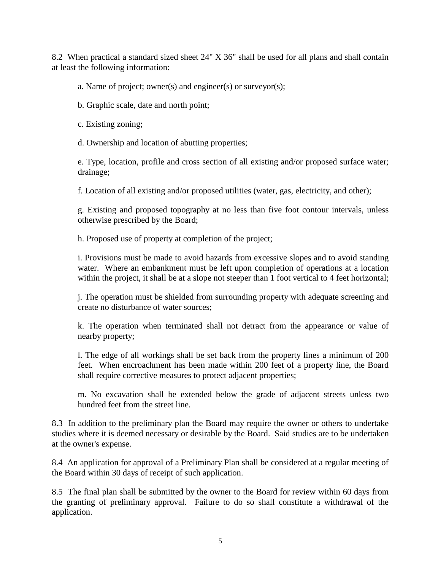8.2 When practical a standard sized sheet 24" X 36" shall be used for all plans and shall contain at least the following information:

a. Name of project; owner(s) and engineer(s) or surveyor(s);

b. Graphic scale, date and north point;

c. Existing zoning;

d. Ownership and location of abutting properties;

e. Type, location, profile and cross section of all existing and/or proposed surface water; drainage;

f. Location of all existing and/or proposed utilities (water, gas, electricity, and other);

g. Existing and proposed topography at no less than five foot contour intervals, unless otherwise prescribed by the Board;

h. Proposed use of property at completion of the project;

i. Provisions must be made to avoid hazards from excessive slopes and to avoid standing water. Where an embankment must be left upon completion of operations at a location within the project, it shall be at a slope not steeper than 1 foot vertical to 4 feet horizontal;

j. The operation must be shielded from surrounding property with adequate screening and create no disturbance of water sources;

k. The operation when terminated shall not detract from the appearance or value of nearby property;

l. The edge of all workings shall be set back from the property lines a minimum of 200 feet. When encroachment has been made within 200 feet of a property line, the Board shall require corrective measures to protect adjacent properties;

m. No excavation shall be extended below the grade of adjacent streets unless two hundred feet from the street line.

8.3 In addition to the preliminary plan the Board may require the owner or others to undertake studies where it is deemed necessary or desirable by the Board. Said studies are to be undertaken at the owner's expense.

8.4 An application for approval of a Preliminary Plan shall be considered at a regular meeting of the Board within 30 days of receipt of such application.

8.5 The final plan shall be submitted by the owner to the Board for review within 60 days from the granting of preliminary approval. Failure to do so shall constitute a withdrawal of the application.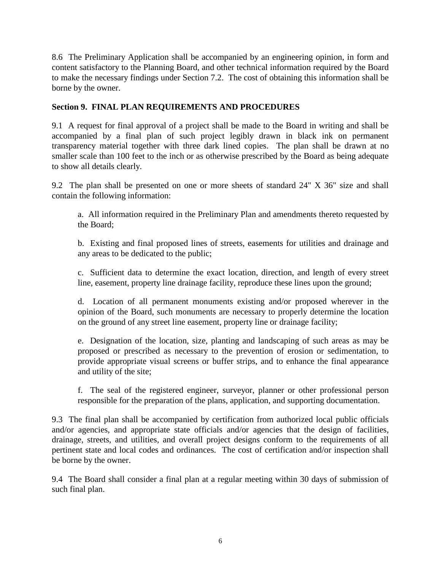8.6 The Preliminary Application shall be accompanied by an engineering opinion, in form and content satisfactory to the Planning Board, and other technical information required by the Board to make the necessary findings under Section 7.2. The cost of obtaining this information shall be borne by the owner.

## <span id="page-7-0"></span>**Section 9. FINAL PLAN REQUIREMENTS AND PROCEDURES**

9.1 A request for final approval of a project shall be made to the Board in writing and shall be accompanied by a final plan of such project legibly drawn in black ink on permanent transparency material together with three dark lined copies. The plan shall be drawn at no smaller scale than 100 feet to the inch or as otherwise prescribed by the Board as being adequate to show all details clearly.

9.2 The plan shall be presented on one or more sheets of standard 24" X 36" size and shall contain the following information:

a. All information required in the Preliminary Plan and amendments thereto requested by the Board;

b. Existing and final proposed lines of streets, easements for utilities and drainage and any areas to be dedicated to the public;

c. Sufficient data to determine the exact location, direction, and length of every street line, easement, property line drainage facility, reproduce these lines upon the ground;

d. Location of all permanent monuments existing and/or proposed wherever in the opinion of the Board, such monuments are necessary to properly determine the location on the ground of any street line easement, property line or drainage facility;

e. Designation of the location, size, planting and landscaping of such areas as may be proposed or prescribed as necessary to the prevention of erosion or sedimentation, to provide appropriate visual screens or buffer strips, and to enhance the final appearance and utility of the site;

f. The seal of the registered engineer, surveyor, planner or other professional person responsible for the preparation of the plans, application, and supporting documentation.

9.3 The final plan shall be accompanied by certification from authorized local public officials and/or agencies, and appropriate state officials and/or agencies that the design of facilities, drainage, streets, and utilities, and overall project designs conform to the requirements of all pertinent state and local codes and ordinances. The cost of certification and/or inspection shall be borne by the owner.

9.4 The Board shall consider a final plan at a regular meeting within 30 days of submission of such final plan.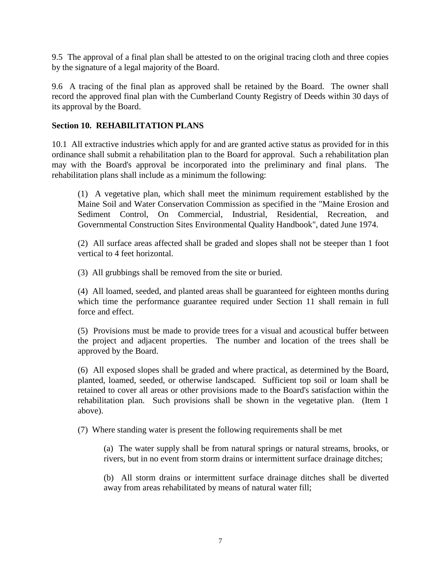9.5 The approval of a final plan shall be attested to on the original tracing cloth and three copies by the signature of a legal majority of the Board.

9.6 A tracing of the final plan as approved shall be retained by the Board. The owner shall record the approved final plan with the Cumberland County Registry of Deeds within 30 days of its approval by the Board.

## <span id="page-8-0"></span>**Section 10. REHABILITATION PLANS**

10.1 All extractive industries which apply for and are granted active status as provided for in this ordinance shall submit a rehabilitation plan to the Board for approval. Such a rehabilitation plan may with the Board's approval be incorporated into the preliminary and final plans. The rehabilitation plans shall include as a minimum the following:

(1) A vegetative plan, which shall meet the minimum requirement established by the Maine Soil and Water Conservation Commission as specified in the "Maine Erosion and Sediment Control, On Commercial, Industrial, Residential, Recreation, and Governmental Construction Sites Environmental Quality Handbook", dated June 1974.

(2) All surface areas affected shall be graded and slopes shall not be steeper than 1 foot vertical to 4 feet horizontal.

(3) All grubbings shall be removed from the site or buried.

(4) All loamed, seeded, and planted areas shall be guaranteed for eighteen months during which time the performance guarantee required under Section 11 shall remain in full force and effect.

(5) Provisions must be made to provide trees for a visual and acoustical buffer between the project and adjacent properties. The number and location of the trees shall be approved by the Board.

(6) All exposed slopes shall be graded and where practical, as determined by the Board, planted, loamed, seeded, or otherwise landscaped. Sufficient top soil or loam shall be retained to cover all areas or other provisions made to the Board's satisfaction within the rehabilitation plan. Such provisions shall be shown in the vegetative plan. (Item 1 above).

(7) Where standing water is present the following requirements shall be met

(a) The water supply shall be from natural springs or natural streams, brooks, or rivers, but in no event from storm drains or intermittent surface drainage ditches;

(b) All storm drains or intermittent surface drainage ditches shall be diverted away from areas rehabilitated by means of natural water fill;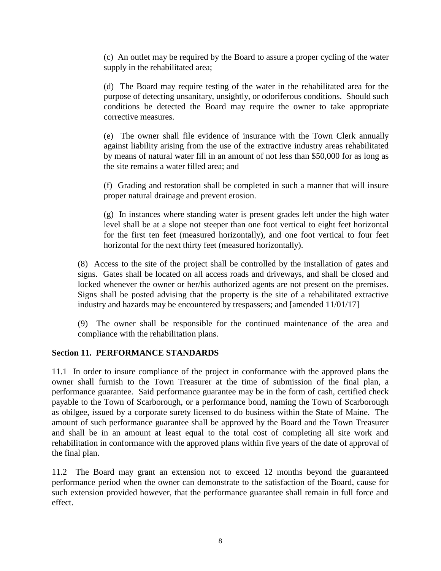(c) An outlet may be required by the Board to assure a proper cycling of the water supply in the rehabilitated area;

(d) The Board may require testing of the water in the rehabilitated area for the purpose of detecting unsanitary, unsightly, or odoriferous conditions. Should such conditions be detected the Board may require the owner to take appropriate corrective measures.

(e) The owner shall file evidence of insurance with the Town Clerk annually against liability arising from the use of the extractive industry areas rehabilitated by means of natural water fill in an amount of not less than \$50,000 for as long as the site remains a water filled area; and

(f) Grading and restoration shall be completed in such a manner that will insure proper natural drainage and prevent erosion.

(g) In instances where standing water is present grades left under the high water level shall be at a slope not steeper than one foot vertical to eight feet horizontal for the first ten feet (measured horizontally), and one foot vertical to four feet horizontal for the next thirty feet (measured horizontally).

(8) Access to the site of the project shall be controlled by the installation of gates and signs. Gates shall be located on all access roads and driveways, and shall be closed and locked whenever the owner or her/his authorized agents are not present on the premises. Signs shall be posted advising that the property is the site of a rehabilitated extractive industry and hazards may be encountered by trespassers; and [amended 11/01/17]

(9) The owner shall be responsible for the continued maintenance of the area and compliance with the rehabilitation plans.

## <span id="page-9-0"></span>**Section 11. PERFORMANCE STANDARDS**

11.1 In order to insure compliance of the project in conformance with the approved plans the owner shall furnish to the Town Treasurer at the time of submission of the final plan, a performance guarantee. Said performance guarantee may be in the form of cash, certified check payable to the Town of Scarborough, or a performance bond, naming the Town of Scarborough as obilgee, issued by a corporate surety licensed to do business within the State of Maine. The amount of such performance guarantee shall be approved by the Board and the Town Treasurer and shall be in an amount at least equal to the total cost of completing all site work and rehabilitation in conformance with the approved plans within five years of the date of approval of the final plan.

11.2 The Board may grant an extension not to exceed 12 months beyond the guaranteed performance period when the owner can demonstrate to the satisfaction of the Board, cause for such extension provided however, that the performance guarantee shall remain in full force and effect.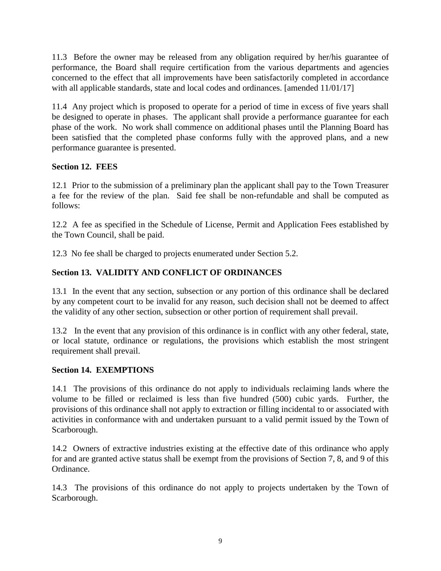11.3 Before the owner may be released from any obligation required by her/his guarantee of performance, the Board shall require certification from the various departments and agencies concerned to the effect that all improvements have been satisfactorily completed in accordance with all applicable standards, state and local codes and ordinances. [amended  $11/01/17$ ]

11.4 Any project which is proposed to operate for a period of time in excess of five years shall be designed to operate in phases. The applicant shall provide a performance guarantee for each phase of the work. No work shall commence on additional phases until the Planning Board has been satisfied that the completed phase conforms fully with the approved plans, and a new performance guarantee is presented.

## <span id="page-10-0"></span>**Section 12. FEES**

12.1 Prior to the submission of a preliminary plan the applicant shall pay to the Town Treasurer a fee for the review of the plan. Said fee shall be non-refundable and shall be computed as follows:

12.2 A fee as specified in the Schedule of License, Permit and Application Fees established by the Town Council, shall be paid.

12.3 No fee shall be charged to projects enumerated under Section 5.2.

# <span id="page-10-1"></span>**Section 13. VALIDITY AND CONFLICT OF ORDINANCES**

13.1 In the event that any section, subsection or any portion of this ordinance shall be declared by any competent court to be invalid for any reason, such decision shall not be deemed to affect the validity of any other section, subsection or other portion of requirement shall prevail.

13.2 In the event that any provision of this ordinance is in conflict with any other federal, state, or local statute, ordinance or regulations, the provisions which establish the most stringent requirement shall prevail.

## <span id="page-10-2"></span>**Section 14. EXEMPTIONS**

14.1 The provisions of this ordinance do not apply to individuals reclaiming lands where the volume to be filled or reclaimed is less than five hundred (500) cubic yards. Further, the provisions of this ordinance shall not apply to extraction or filling incidental to or associated with activities in conformance with and undertaken pursuant to a valid permit issued by the Town of Scarborough.

14.2 Owners of extractive industries existing at the effective date of this ordinance who apply for and are granted active status shall be exempt from the provisions of Section 7, 8, and 9 of this Ordinance.

14.3 The provisions of this ordinance do not apply to projects undertaken by the Town of Scarborough.